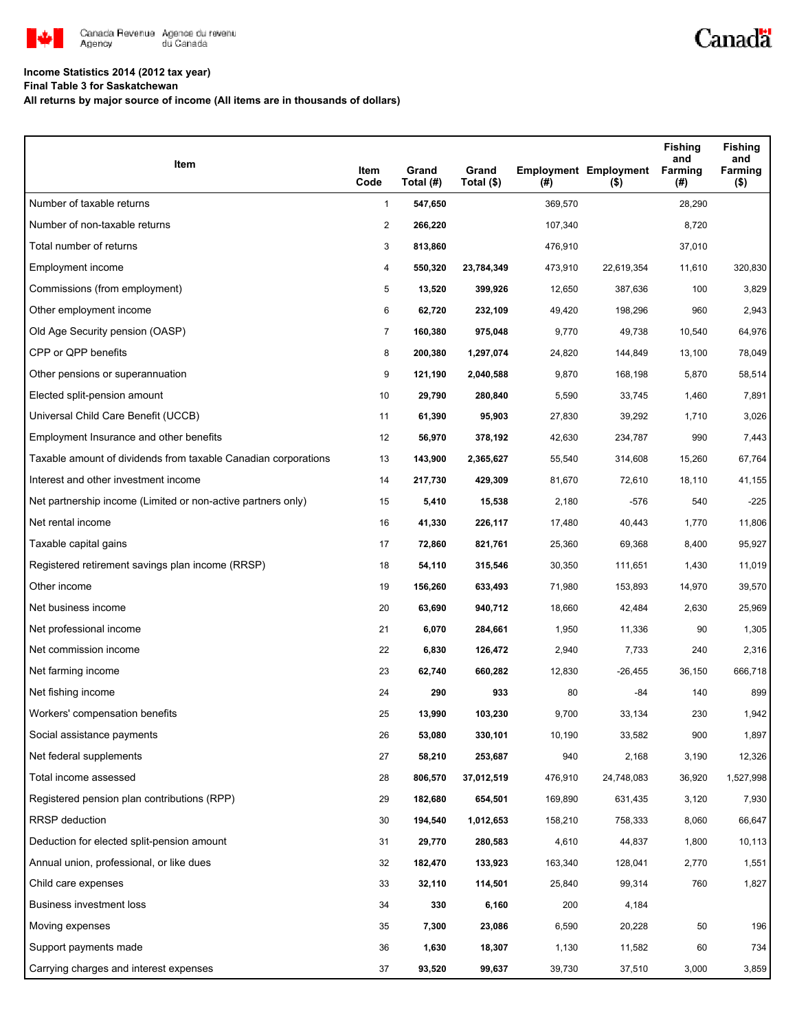

## **Income Statistics 2014 (2012 tax year)**

**Final Table 3 for Saskatchewan**

**All returns by major source of income (All items are in thousands of dollars)**

| Item                                                           | Item<br>Code   | Grand<br>Total (#) | Grand<br>Total (\$) | (#)     | <b>Employment Employment</b><br>$($ \$) | <b>Fishing</b><br>and<br>Farming<br>(#) | <b>Fishing</b><br>and<br>Farming<br>$($ \$) |
|----------------------------------------------------------------|----------------|--------------------|---------------------|---------|-----------------------------------------|-----------------------------------------|---------------------------------------------|
| Number of taxable returns                                      | $\mathbf{1}$   | 547,650            |                     | 369,570 |                                         | 28,290                                  |                                             |
| Number of non-taxable returns                                  | $\overline{2}$ | 266,220            |                     | 107,340 |                                         | 8,720                                   |                                             |
| Total number of returns                                        | 3              | 813,860            |                     | 476,910 |                                         | 37,010                                  |                                             |
| Employment income                                              | 4              | 550,320            | 23,784,349          | 473,910 | 22,619,354                              | 11,610                                  | 320,830                                     |
| Commissions (from employment)                                  | 5              | 13,520             | 399,926             | 12,650  | 387,636                                 | 100                                     | 3,829                                       |
| Other employment income                                        | 6              | 62,720             | 232,109             | 49,420  | 198,296                                 | 960                                     | 2,943                                       |
| Old Age Security pension (OASP)                                | 7              | 160,380            | 975,048             | 9,770   | 49,738                                  | 10,540                                  | 64,976                                      |
| CPP or QPP benefits                                            | 8              | 200,380            | 1,297,074           | 24,820  | 144,849                                 | 13,100                                  | 78,049                                      |
| Other pensions or superannuation                               | 9              | 121,190            | 2,040,588           | 9,870   | 168,198                                 | 5,870                                   | 58,514                                      |
| Elected split-pension amount                                   | 10             | 29,790             | 280,840             | 5,590   | 33,745                                  | 1,460                                   | 7,891                                       |
| Universal Child Care Benefit (UCCB)                            | 11             | 61,390             | 95,903              | 27,830  | 39,292                                  | 1,710                                   | 3,026                                       |
| Employment Insurance and other benefits                        | 12             | 56,970             | 378,192             | 42,630  | 234,787                                 | 990                                     | 7,443                                       |
| Taxable amount of dividends from taxable Canadian corporations | 13             | 143,900            | 2,365,627           | 55,540  | 314,608                                 | 15,260                                  | 67,764                                      |
| Interest and other investment income                           | 14             | 217,730            | 429,309             | 81,670  | 72,610                                  | 18,110                                  | 41,155                                      |
| Net partnership income (Limited or non-active partners only)   | 15             | 5,410              | 15,538              | 2,180   | -576                                    | 540                                     | $-225$                                      |
| Net rental income                                              | 16             | 41,330             | 226,117             | 17,480  | 40,443                                  | 1,770                                   | 11,806                                      |
| Taxable capital gains                                          | 17             | 72,860             | 821,761             | 25,360  | 69,368                                  | 8,400                                   | 95,927                                      |
| Registered retirement savings plan income (RRSP)               | 18             | 54,110             | 315,546             | 30,350  | 111,651                                 | 1,430                                   | 11,019                                      |
| Other income                                                   | 19             | 156,260            | 633,493             | 71,980  | 153,893                                 | 14,970                                  | 39,570                                      |
| Net business income                                            | 20             | 63,690             | 940,712             | 18,660  | 42,484                                  | 2,630                                   | 25,969                                      |
| Net professional income                                        | 21             | 6,070              | 284,661             | 1,950   | 11,336                                  | 90                                      | 1,305                                       |
| Net commission income                                          | 22             | 6,830              | 126,472             | 2,940   | 7,733                                   | 240                                     | 2,316                                       |
| Net farming income                                             | 23             | 62,740             | 660,282             | 12,830  | -26,455                                 | 36,150                                  | 666,718                                     |
| Net fishing income                                             | 24             | 290                | 933                 | 80      | -84                                     | 140                                     | 899                                         |
| Workers' compensation benefits                                 | 25             | 13,990             | 103,230             | 9,700   | 33,134                                  | 230                                     | 1,942                                       |
| Social assistance payments                                     | 26             | 53,080             | 330,101             | 10,190  | 33,582                                  | 900                                     | 1,897                                       |
| Net federal supplements                                        | 27             | 58,210             | 253,687             | 940     | 2,168                                   | 3,190                                   | 12,326                                      |
| Total income assessed                                          | 28             | 806,570            | 37,012,519          | 476,910 | 24,748,083                              | 36,920                                  | 1,527,998                                   |
| Registered pension plan contributions (RPP)                    | 29             | 182,680            | 654,501             | 169,890 | 631,435                                 | 3,120                                   | 7,930                                       |
| RRSP deduction                                                 | 30             | 194,540            | 1,012,653           | 158,210 | 758,333                                 | 8,060                                   | 66,647                                      |
| Deduction for elected split-pension amount                     | 31             | 29,770             | 280,583             | 4,610   | 44,837                                  | 1,800                                   | 10,113                                      |
| Annual union, professional, or like dues                       | 32             | 182,470            | 133,923             | 163,340 | 128,041                                 | 2,770                                   | 1,551                                       |
| Child care expenses                                            | 33             | 32,110             | 114,501             | 25,840  | 99,314                                  | 760                                     | 1,827                                       |
| Business investment loss                                       | 34             | 330                | 6,160               | 200     | 4,184                                   |                                         |                                             |
| Moving expenses                                                | 35             | 7,300              | 23,086              | 6,590   | 20,228                                  | 50                                      | 196                                         |
| Support payments made                                          | 36             | 1,630              | 18,307              | 1,130   | 11,582                                  | 60                                      | 734                                         |
| Carrying charges and interest expenses                         | 37             | 93,520             | 99,637              | 39,730  | 37,510                                  | 3,000                                   | 3,859                                       |

Canadä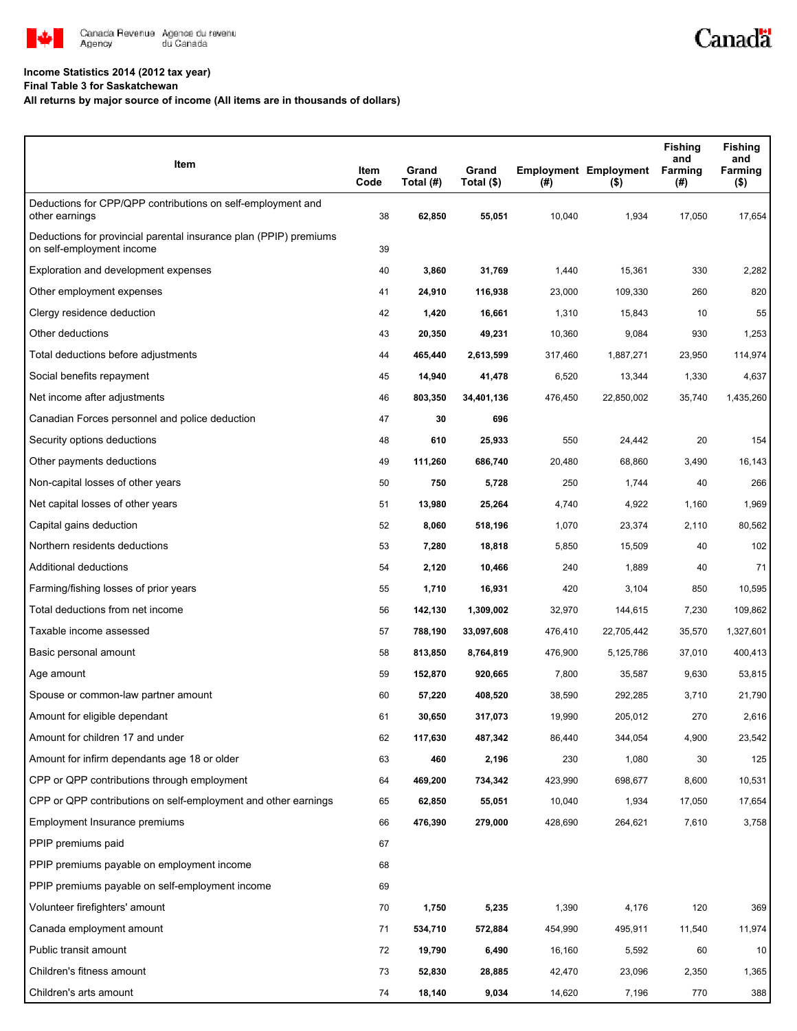

## **Income Statistics 2014 (2012 tax year)**

**Final Table 3 for Saskatchewan**

## **All returns by major source of income (All items are in thousands of dollars)**

| Item                                                                                           | Item<br>Code | Grand<br>Total (#) | Grand<br>Total (\$) | (#)     | <b>Employment Employment</b><br>$($ \$) | <b>Fishing</b><br>and<br><b>Farming</b><br>(#) | <b>Fishing</b><br>and<br>Farming<br>( \$) |
|------------------------------------------------------------------------------------------------|--------------|--------------------|---------------------|---------|-----------------------------------------|------------------------------------------------|-------------------------------------------|
| Deductions for CPP/QPP contributions on self-employment and<br>other earnings                  | 38           | 62,850             | 55,051              | 10,040  | 1,934                                   | 17,050                                         | 17,654                                    |
| Deductions for provincial parental insurance plan (PPIP) premiums<br>on self-employment income | 39           |                    |                     |         |                                         |                                                |                                           |
| Exploration and development expenses                                                           | 40           | 3,860              | 31,769              | 1,440   | 15,361                                  | 330                                            | 2,282                                     |
| Other employment expenses                                                                      | 41           | 24,910             | 116,938             | 23,000  | 109,330                                 | 260                                            | 820                                       |
| Clergy residence deduction                                                                     | 42           | 1,420              | 16,661              | 1,310   | 15,843                                  | 10                                             | 55                                        |
| Other deductions                                                                               | 43           | 20,350             | 49,231              | 10,360  | 9,084                                   | 930                                            | 1,253                                     |
| Total deductions before adjustments                                                            | 44           | 465,440            | 2,613,599           | 317,460 | 1,887,271                               | 23,950                                         | 114,974                                   |
| Social benefits repayment                                                                      | 45           | 14,940             | 41,478              | 6,520   | 13,344                                  | 1,330                                          | 4,637                                     |
| Net income after adjustments                                                                   | 46           | 803,350            | 34,401,136          | 476,450 | 22,850,002                              | 35,740                                         | 1,435,260                                 |
| Canadian Forces personnel and police deduction                                                 | 47           | 30                 | 696                 |         |                                         |                                                |                                           |
| Security options deductions                                                                    | 48           | 610                | 25,933              | 550     | 24,442                                  | 20                                             | 154                                       |
| Other payments deductions                                                                      | 49           | 111,260            | 686,740             | 20,480  | 68,860                                  | 3,490                                          | 16,143                                    |
| Non-capital losses of other years                                                              | 50           | 750                | 5,728               | 250     | 1,744                                   | 40                                             | 266                                       |
| Net capital losses of other years                                                              | 51           | 13,980             | 25,264              | 4,740   | 4,922                                   | 1,160                                          | 1,969                                     |
| Capital gains deduction                                                                        | 52           | 8,060              | 518,196             | 1,070   | 23,374                                  | 2,110                                          | 80,562                                    |
| Northern residents deductions                                                                  | 53           | 7,280              | 18,818              | 5,850   | 15,509                                  | 40                                             | 102                                       |
| Additional deductions                                                                          | 54           | 2,120              | 10,466              | 240     | 1,889                                   | 40                                             | 71                                        |
| Farming/fishing losses of prior years                                                          | 55           | 1,710              | 16,931              | 420     | 3,104                                   | 850                                            | 10,595                                    |
| Total deductions from net income                                                               | 56           | 142,130            | 1,309,002           | 32,970  | 144,615                                 | 7,230                                          | 109,862                                   |
| Taxable income assessed                                                                        | 57           | 788,190            | 33,097,608          | 476,410 | 22,705,442                              | 35,570                                         | 1,327,601                                 |
| Basic personal amount                                                                          | 58           | 813,850            | 8,764,819           | 476,900 | 5,125,786                               | 37,010                                         | 400,413                                   |
| Age amount                                                                                     | 59           | 152,870            | 920,665             | 7,800   | 35,587                                  | 9,630                                          | 53,815                                    |
| Spouse or common-law partner amount                                                            | 60           | 57,220             | 408,520             | 38,590  | 292,285                                 | 3,710                                          | 21,790                                    |
| Amount for eligible dependant                                                                  | 61           | 30,650             | 317,073             | 19,990  | 205,012                                 | 270                                            | 2,616                                     |
| Amount for children 17 and under                                                               | 62           | 117,630            | 487,342             | 86,440  | 344,054                                 | 4,900                                          | 23,542                                    |
| Amount for infirm dependants age 18 or older                                                   | 63           | 460                | 2,196               | 230     | 1,080                                   | 30                                             | 125                                       |
| CPP or QPP contributions through employment                                                    | 64           | 469,200            | 734,342             | 423,990 | 698,677                                 | 8,600                                          | 10,531                                    |
| CPP or QPP contributions on self-employment and other earnings                                 | 65           | 62,850             | 55,051              | 10,040  | 1,934                                   | 17,050                                         | 17,654                                    |
| Employment Insurance premiums                                                                  | 66           | 476,390            | 279,000             | 428,690 | 264,621                                 | 7,610                                          | 3,758                                     |
| PPIP premiums paid                                                                             | 67           |                    |                     |         |                                         |                                                |                                           |
| PPIP premiums payable on employment income                                                     | 68           |                    |                     |         |                                         |                                                |                                           |
| PPIP premiums payable on self-employment income                                                | 69           |                    |                     |         |                                         |                                                |                                           |
| Volunteer firefighters' amount                                                                 | 70           | 1,750              | 5,235               | 1,390   | 4,176                                   | 120                                            | 369                                       |
| Canada employment amount                                                                       | 71           | 534,710            | 572,884             | 454,990 | 495,911                                 | 11,540                                         | 11,974                                    |
| Public transit amount                                                                          | 72           | 19,790             | 6,490               | 16,160  | 5,592                                   | 60                                             | 10                                        |
| Children's fitness amount                                                                      | 73           | 52,830             | 28,885              | 42,470  | 23,096                                  | 2,350                                          | 1,365                                     |
| Children's arts amount                                                                         | 74           | 18,140             | 9,034               | 14,620  | 7,196                                   | 770                                            | 388                                       |

Canadä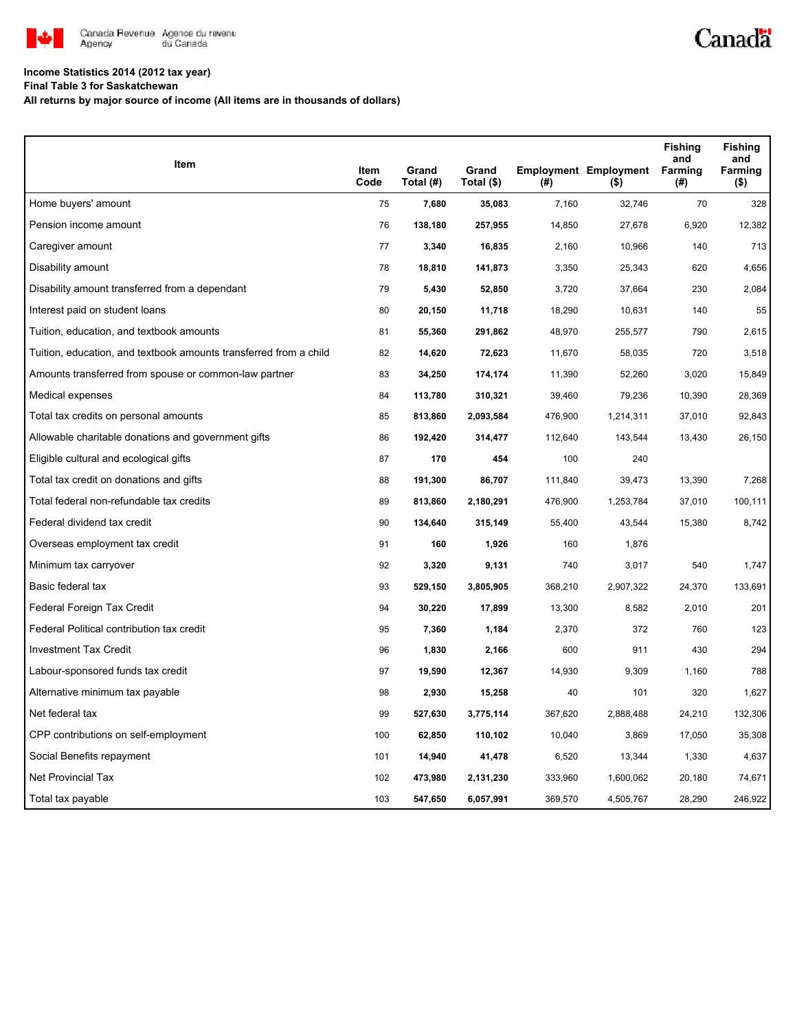

## **Income Statistics 2014 (2012 tax year)**

**Final Table 3 for Saskatchewan**

**All returns by major source of income (All items are in thousands of dollars)**

| <b>Item</b>                                                       |              |                    |                     |         |                                                 | <b>Fishing</b><br>and | <b>Fishing</b><br>and |
|-------------------------------------------------------------------|--------------|--------------------|---------------------|---------|-------------------------------------------------|-----------------------|-----------------------|
|                                                                   | Item<br>Code | Grand<br>Total (#) | Grand<br>Total (\$) | (#)     | <b>Employment Employment Farming</b><br>$($ \$) | (#)                   | Farming<br>$($ \$)    |
| Home buyers' amount                                               | 75           | 7,680              | 35,083              | 7,160   | 32,746                                          | 70                    | 328                   |
| Pension income amount                                             | 76           | 138,180            | 257,955             | 14,850  | 27,678                                          | 6,920                 | 12,382                |
| Caregiver amount                                                  | 77           | 3,340              | 16,835              | 2,160   | 10,966                                          | 140                   | 713                   |
| Disability amount                                                 | 78           | 18,810             | 141,873             | 3,350   | 25,343                                          | 620                   | 4,656                 |
| Disability amount transferred from a dependant                    | 79           | 5,430              | 52,850              | 3,720   | 37,664                                          | 230                   | 2,084                 |
| Interest paid on student loans                                    | 80           | 20,150             | 11,718              | 18,290  | 10,631                                          | 140                   | 55                    |
| Tuition, education, and textbook amounts                          | 81           | 55,360             | 291,862             | 48,970  | 255,577                                         | 790                   | 2,615                 |
| Tuition, education, and textbook amounts transferred from a child | 82           | 14,620             | 72,623              | 11,670  | 58,035                                          | 720                   | 3,518                 |
| Amounts transferred from spouse or common-law partner             | 83           | 34,250             | 174,174             | 11,390  | 52,260                                          | 3,020                 | 15,849                |
| Medical expenses                                                  | 84           | 113,780            | 310,321             | 39,460  | 79,236                                          | 10,390                | 28,369                |
| Total tax credits on personal amounts                             | 85           | 813,860            | 2,093,584           | 476,900 | 1,214,311                                       | 37,010                | 92,843                |
| Allowable charitable donations and government gifts               | 86           | 192,420            | 314,477             | 112,640 | 143,544                                         | 13,430                | 26,150                |
| Eligible cultural and ecological gifts                            | 87           | 170                | 454                 | 100     | 240                                             |                       |                       |
| Total tax credit on donations and gifts                           | 88           | 191,300            | 86,707              | 111,840 | 39,473                                          | 13,390                | 7,268                 |
| Total federal non-refundable tax credits                          | 89           | 813,860            | 2,180,291           | 476,900 | 1,253,784                                       | 37,010                | 100,111               |
| Federal dividend tax credit                                       | 90           | 134,640            | 315,149             | 55,400  | 43,544                                          | 15,380                | 8,742                 |
| Overseas employment tax credit                                    | 91           | 160                | 1,926               | 160     | 1,876                                           |                       |                       |
| Minimum tax carryover                                             | 92           | 3,320              | 9,131               | 740     | 3,017                                           | 540                   | 1,747                 |
| Basic federal tax                                                 | 93           | 529,150            | 3,805,905           | 368,210 | 2,907,322                                       | 24,370                | 133,691               |
| Federal Foreign Tax Credit                                        | 94           | 30,220             | 17,899              | 13,300  | 8,582                                           | 2,010                 | 201                   |
| Federal Political contribution tax credit                         | 95           | 7,360              | 1,184               | 2,370   | 372                                             | 760                   | 123                   |
| <b>Investment Tax Credit</b>                                      | 96           | 1,830              | 2,166               | 600     | 911                                             | 430                   | 294                   |
| Labour-sponsored funds tax credit                                 | 97           | 19,590             | 12,367              | 14,930  | 9,309                                           | 1,160                 | 788                   |
| Alternative minimum tax payable                                   | 98           | 2,930              | 15,258              | 40      | 101                                             | 320                   | 1,627                 |
| Net federal tax                                                   | 99           | 527,630            | 3,775,114           | 367,620 | 2,888,488                                       | 24,210                | 132,306               |
| CPP contributions on self-employment                              | 100          | 62,850             | 110,102             | 10,040  | 3,869                                           | 17,050                | 35,308                |
| Social Benefits repayment                                         | 101          | 14,940             | 41,478              | 6,520   | 13,344                                          | 1,330                 | 4,637                 |
| <b>Net Provincial Tax</b>                                         | 102          | 473,980            | 2,131,230           | 333,960 | 1,600,062                                       | 20,180                | 74,671                |
| Total tax payable                                                 | 103          | 547,650            | 6,057,991           | 369,570 | 4,505,767                                       | 28,290                | 246,922               |

Canadä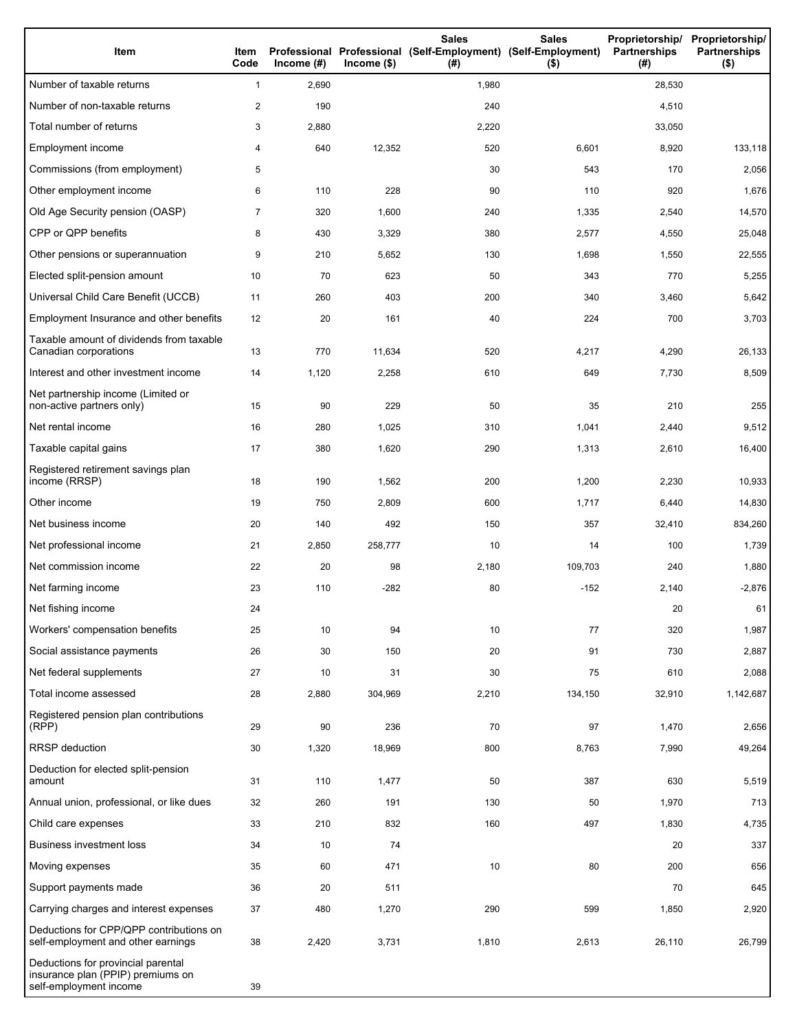| Item                                                                                              | Item<br>Code   | Income $(\#)$ | $Income$ (\$) | <b>Sales</b><br>Professional Professional (Self-Employment) (Self-Employment)<br>(#) | <b>Sales</b><br>$($ \$) | Proprietorship/<br><b>Partnerships</b><br>(# ) | Proprietorship/<br><b>Partnerships</b><br>$($ \$) |
|---------------------------------------------------------------------------------------------------|----------------|---------------|---------------|--------------------------------------------------------------------------------------|-------------------------|------------------------------------------------|---------------------------------------------------|
| Number of taxable returns                                                                         | $\mathbf{1}$   | 2,690         |               | 1,980                                                                                |                         | 28,530                                         |                                                   |
| Number of non-taxable returns                                                                     | $\overline{c}$ | 190           |               | 240                                                                                  |                         | 4,510                                          |                                                   |
| Total number of returns                                                                           | 3              | 2,880         |               | 2,220                                                                                |                         | 33,050                                         |                                                   |
| Employment income                                                                                 | 4              | 640           | 12,352        | 520                                                                                  | 6,601                   | 8,920                                          | 133,118                                           |
| Commissions (from employment)                                                                     | 5              |               |               | 30                                                                                   | 543                     | 170                                            | 2,056                                             |
| Other employment income                                                                           | 6              | 110           | 228           | 90                                                                                   | 110                     | 920                                            | 1,676                                             |
| Old Age Security pension (OASP)                                                                   | $\overline{7}$ | 320           | 1,600         | 240                                                                                  | 1,335                   | 2,540                                          | 14,570                                            |
| CPP or QPP benefits                                                                               | 8              | 430           | 3,329         | 380                                                                                  | 2,577                   | 4,550                                          | 25,048                                            |
| Other pensions or superannuation                                                                  | 9              | 210           | 5,652         | 130                                                                                  | 1,698                   | 1,550                                          | 22,555                                            |
| Elected split-pension amount                                                                      | 10             | 70            | 623           | 50                                                                                   | 343                     | 770                                            | 5,255                                             |
| Universal Child Care Benefit (UCCB)                                                               | 11             | 260           | 403           | 200                                                                                  | 340                     | 3,460                                          | 5,642                                             |
| Employment Insurance and other benefits                                                           | 12             | 20            | 161           | 40                                                                                   | 224                     | 700                                            | 3,703                                             |
| Taxable amount of dividends from taxable<br>Canadian corporations                                 | 13             | 770           | 11,634        | 520                                                                                  | 4,217                   | 4,290                                          | 26,133                                            |
| Interest and other investment income                                                              | 14             | 1,120         | 2,258         | 610                                                                                  | 649                     | 7,730                                          | 8,509                                             |
| Net partnership income (Limited or<br>non-active partners only)                                   | 15             | 90            | 229           | 50                                                                                   | 35                      | 210                                            | 255                                               |
| Net rental income                                                                                 | 16             | 280           | 1,025         | 310                                                                                  | 1,041                   | 2,440                                          | 9,512                                             |
| Taxable capital gains                                                                             | 17             | 380           | 1,620         | 290                                                                                  | 1,313                   | 2,610                                          | 16,400                                            |
| Registered retirement savings plan<br>income (RRSP)                                               | 18             | 190           | 1,562         | 200                                                                                  | 1,200                   | 2,230                                          | 10,933                                            |
| Other income                                                                                      | 19             | 750           | 2,809         | 600                                                                                  | 1,717                   | 6,440                                          | 14,830                                            |
| Net business income                                                                               | 20             | 140           | 492           | 150                                                                                  | 357                     | 32,410                                         | 834,260                                           |
| Net professional income                                                                           | 21             | 2,850         | 258,777       | 10                                                                                   | 14                      | 100                                            | 1,739                                             |
| Net commission income                                                                             | 22             | 20            | 98            | 2,180                                                                                | 109,703                 | 240                                            | 1,880                                             |
| Net farming income                                                                                | 23             | 110           | $-282$        | 80                                                                                   | $-152$                  | 2,140                                          | $-2,876$                                          |
| Net fishing income                                                                                | 24             |               |               |                                                                                      |                         | 20                                             | 61                                                |
| Workers' compensation benefits                                                                    | 25             | 10            | 94            | 10                                                                                   | 77                      | 320                                            | 1,987                                             |
| Social assistance payments                                                                        | 26             | 30            | 150           | 20                                                                                   | 91                      | 730                                            | 2,887                                             |
| Net federal supplements                                                                           | 27             | 10            | 31            | 30                                                                                   | 75                      | 610                                            | 2,088                                             |
| Total income assessed                                                                             | 28             | 2,880         | 304,969       | 2,210                                                                                | 134,150                 | 32,910                                         | 1,142,687                                         |
| Registered pension plan contributions<br>(RPP)                                                    | 29             | 90            | 236           | 70                                                                                   | 97                      | 1,470                                          | 2,656                                             |
| RRSP deduction                                                                                    | 30             | 1,320         | 18,969        | 800                                                                                  | 8,763                   | 7,990                                          | 49,264                                            |
| Deduction for elected split-pension<br>amount                                                     | 31             | 110           | 1,477         | 50                                                                                   | 387                     | 630                                            | 5,519                                             |
| Annual union, professional, or like dues                                                          | 32             | 260           | 191           | 130                                                                                  | 50                      | 1,970                                          | 713                                               |
| Child care expenses                                                                               | 33             | 210           | 832           | 160                                                                                  | 497                     | 1,830                                          | 4,735                                             |
| <b>Business investment loss</b>                                                                   | 34             | 10            | 74            |                                                                                      |                         | 20                                             | 337                                               |
| Moving expenses                                                                                   | 35             | 60            | 471           | 10                                                                                   | 80                      | 200                                            | 656                                               |
| Support payments made                                                                             | 36             | 20            | 511           |                                                                                      |                         | 70                                             | 645                                               |
| Carrying charges and interest expenses                                                            | 37             | 480           | 1,270         | 290                                                                                  | 599                     | 1,850                                          | 2,920                                             |
| Deductions for CPP/QPP contributions on<br>self-employment and other earnings                     | 38             | 2,420         | 3,731         | 1,810                                                                                | 2,613                   | 26,110                                         | 26,799                                            |
| Deductions for provincial parental<br>insurance plan (PPIP) premiums on<br>self-employment income | 39             |               |               |                                                                                      |                         |                                                |                                                   |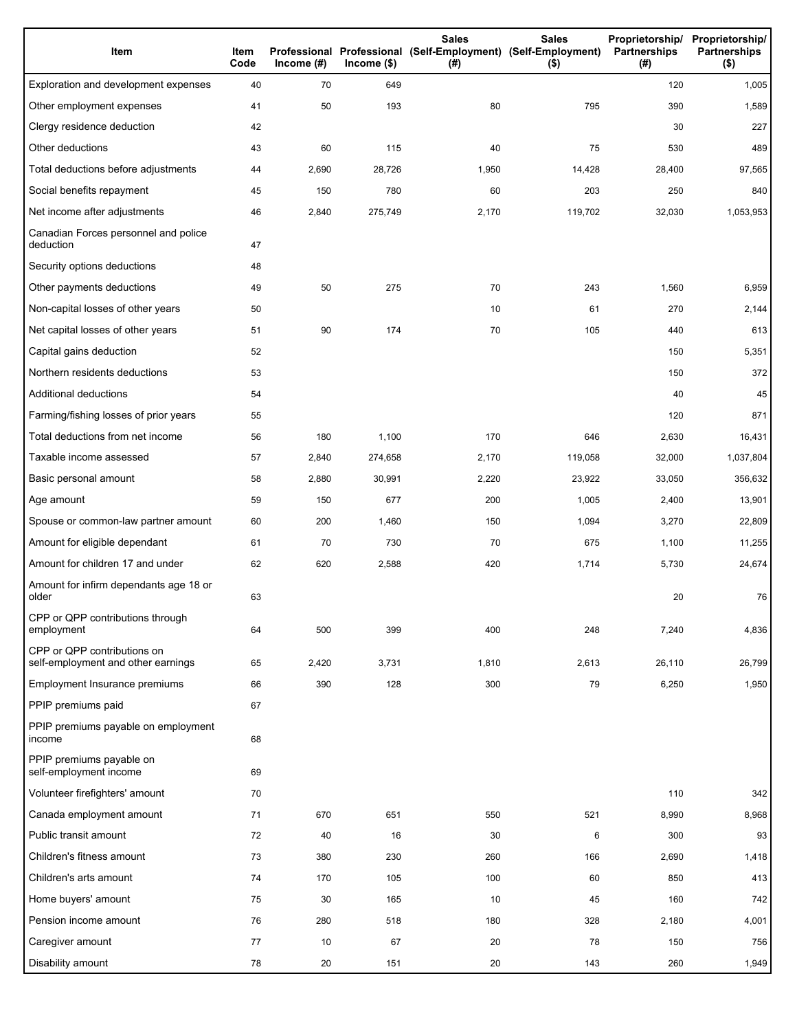| Item                                                              | Item<br>Code | Income $(\#)$ | $lncome$ (\$) | <b>Sales</b><br>Professional Professional (Self-Employment) (Self-Employment)<br>(#) | <b>Sales</b><br>$($ \$) | <b>Partnerships</b><br>(#) | Proprietorship/ Proprietorship/<br><b>Partnerships</b><br>$($ \$) |
|-------------------------------------------------------------------|--------------|---------------|---------------|--------------------------------------------------------------------------------------|-------------------------|----------------------------|-------------------------------------------------------------------|
| Exploration and development expenses                              | 40           | 70            | 649           |                                                                                      |                         | 120                        | 1,005                                                             |
| Other employment expenses                                         | 41           | 50            | 193           | 80                                                                                   | 795                     | 390                        | 1,589                                                             |
| Clergy residence deduction                                        | 42           |               |               |                                                                                      |                         | 30                         | 227                                                               |
| Other deductions                                                  | 43           | 60            | 115           | 40                                                                                   | 75                      | 530                        | 489                                                               |
| Total deductions before adjustments                               | 44           | 2,690         | 28,726        | 1,950                                                                                | 14,428                  | 28,400                     | 97,565                                                            |
| Social benefits repayment                                         | 45           | 150           | 780           | 60                                                                                   | 203                     | 250                        | 840                                                               |
| Net income after adjustments                                      | 46           | 2,840         | 275,749       | 2,170                                                                                | 119,702                 | 32,030                     | 1,053,953                                                         |
| Canadian Forces personnel and police<br>deduction                 | 47           |               |               |                                                                                      |                         |                            |                                                                   |
| Security options deductions                                       | 48           |               |               |                                                                                      |                         |                            |                                                                   |
| Other payments deductions                                         | 49           | 50            | 275           | 70                                                                                   | 243                     | 1,560                      | 6,959                                                             |
| Non-capital losses of other years                                 | 50           |               |               | 10                                                                                   | 61                      | 270                        | 2,144                                                             |
| Net capital losses of other years                                 | 51           | 90            | 174           | 70                                                                                   | 105                     | 440                        | 613                                                               |
| Capital gains deduction                                           | 52           |               |               |                                                                                      |                         | 150                        | 5,351                                                             |
| Northern residents deductions                                     | 53           |               |               |                                                                                      |                         | 150                        | 372                                                               |
| Additional deductions                                             | 54           |               |               |                                                                                      |                         | 40                         | 45                                                                |
| Farming/fishing losses of prior years                             | 55           |               |               |                                                                                      |                         | 120                        | 871                                                               |
| Total deductions from net income                                  | 56           | 180           | 1,100         | 170                                                                                  | 646                     | 2,630                      | 16,431                                                            |
| Taxable income assessed                                           | 57           | 2,840         | 274,658       | 2,170                                                                                | 119,058                 | 32,000                     | 1,037,804                                                         |
| Basic personal amount                                             | 58           | 2,880         | 30,991        | 2,220                                                                                | 23,922                  | 33,050                     | 356,632                                                           |
| Age amount                                                        | 59           | 150           | 677           | 200                                                                                  | 1,005                   | 2,400                      | 13,901                                                            |
| Spouse or common-law partner amount                               | 60           | 200           | 1,460         | 150                                                                                  | 1,094                   | 3,270                      | 22,809                                                            |
| Amount for eligible dependant                                     | 61           | 70            | 730           | 70                                                                                   | 675                     | 1,100                      | 11,255                                                            |
| Amount for children 17 and under                                  | 62           | 620           | 2,588         | 420                                                                                  | 1,714                   | 5,730                      | 24,674                                                            |
| Amount for infirm dependants age 18 or<br>older                   | 63           |               |               |                                                                                      |                         | 20                         | 76                                                                |
| CPP or QPP contributions through<br>employment                    | 64           | 500           | 399           | 400                                                                                  | 248                     | 7,240                      | 4,836                                                             |
| CPP or QPP contributions on<br>self-employment and other earnings | 65           | 2,420         | 3,731         | 1,810                                                                                | 2,613                   | 26,110                     | 26,799                                                            |
| Employment Insurance premiums                                     | 66           | 390           | 128           | 300                                                                                  | 79                      | 6,250                      | 1,950                                                             |
| PPIP premiums paid                                                | 67           |               |               |                                                                                      |                         |                            |                                                                   |
| PPIP premiums payable on employment<br>income                     | 68           |               |               |                                                                                      |                         |                            |                                                                   |
| PPIP premiums payable on<br>self-employment income                | 69           |               |               |                                                                                      |                         |                            |                                                                   |
| Volunteer firefighters' amount                                    | 70           |               |               |                                                                                      |                         | 110                        | 342                                                               |
| Canada employment amount                                          | 71           | 670           | 651           | 550                                                                                  | 521                     | 8,990                      | 8,968                                                             |
| Public transit amount                                             | 72           | 40            | 16            | 30                                                                                   | 6                       | 300                        | 93                                                                |
| Children's fitness amount                                         | 73           | 380           | 230           | 260                                                                                  | 166                     | 2,690                      | 1,418                                                             |
| Children's arts amount                                            | 74           | 170           | 105           | 100                                                                                  | 60                      | 850                        | 413                                                               |
| Home buyers' amount                                               | 75           | 30            | 165           | 10                                                                                   | 45                      | 160                        | 742                                                               |
| Pension income amount                                             | 76           | 280           | 518           | 180                                                                                  | 328                     | 2,180                      | 4,001                                                             |
| Caregiver amount                                                  | 77           | 10            | 67            | 20                                                                                   | 78                      | 150                        | 756                                                               |
| Disability amount                                                 | 78           | 20            | 151           | 20                                                                                   | 143                     | 260                        | 1,949                                                             |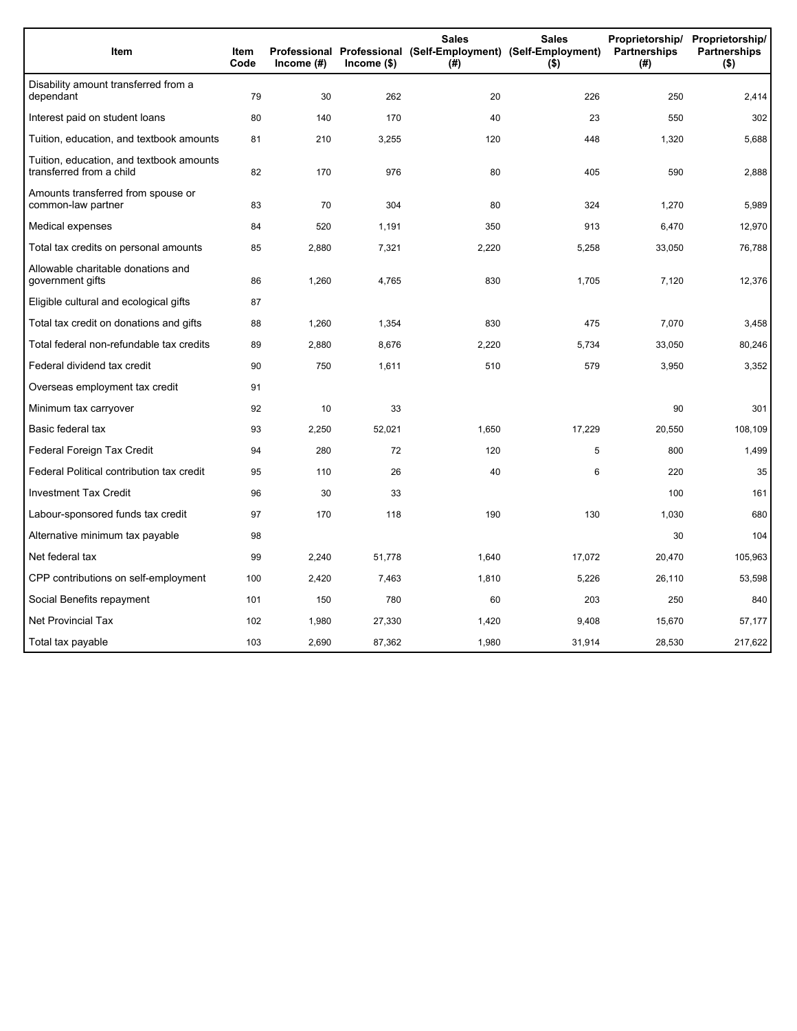| Item                                                                 | Item<br>Code | Income (#) | $lncome$ (\$) | <b>Sales</b><br>Professional Professional (Self-Employment) (Self-Employment)<br>(#) | <b>Sales</b><br>$($ \$) | Proprietorship/<br>Partnerships<br>(#) | Proprietorship/<br><b>Partnerships</b><br>$($ \$) |
|----------------------------------------------------------------------|--------------|------------|---------------|--------------------------------------------------------------------------------------|-------------------------|----------------------------------------|---------------------------------------------------|
| Disability amount transferred from a<br>dependant                    | 79           | 30         | 262           | 20                                                                                   | 226                     | 250                                    | 2,414                                             |
| Interest paid on student loans                                       | 80           | 140        | 170           | 40                                                                                   | 23                      | 550                                    | 302                                               |
| Tuition, education, and textbook amounts                             | 81           | 210        | 3,255         | 120                                                                                  | 448                     | 1,320                                  | 5,688                                             |
| Tuition, education, and textbook amounts<br>transferred from a child | 82           | 170        | 976           | 80                                                                                   | 405                     | 590                                    | 2,888                                             |
| Amounts transferred from spouse or<br>common-law partner             | 83           | 70         | 304           | 80                                                                                   | 324                     | 1,270                                  | 5,989                                             |
| Medical expenses                                                     | 84           | 520        | 1,191         | 350                                                                                  | 913                     | 6,470                                  | 12,970                                            |
| Total tax credits on personal amounts                                | 85           | 2,880      | 7,321         | 2,220                                                                                | 5,258                   | 33,050                                 | 76,788                                            |
| Allowable charitable donations and<br>government gifts               | 86           | 1,260      | 4,765         | 830                                                                                  | 1,705                   | 7,120                                  | 12,376                                            |
| Eligible cultural and ecological gifts                               | 87           |            |               |                                                                                      |                         |                                        |                                                   |
| Total tax credit on donations and gifts                              | 88           | 1,260      | 1,354         | 830                                                                                  | 475                     | 7,070                                  | 3,458                                             |
| Total federal non-refundable tax credits                             | 89           | 2,880      | 8,676         | 2,220                                                                                | 5,734                   | 33,050                                 | 80,246                                            |
| Federal dividend tax credit                                          | 90           | 750        | 1,611         | 510                                                                                  | 579                     | 3,950                                  | 3,352                                             |
| Overseas employment tax credit                                       | 91           |            |               |                                                                                      |                         |                                        |                                                   |
| Minimum tax carryover                                                | 92           | 10         | 33            |                                                                                      |                         | 90                                     | 301                                               |
| Basic federal tax                                                    | 93           | 2,250      | 52,021        | 1,650                                                                                | 17,229                  | 20,550                                 | 108,109                                           |
| Federal Foreign Tax Credit                                           | 94           | 280        | 72            | 120                                                                                  | 5                       | 800                                    | 1,499                                             |
| Federal Political contribution tax credit                            | 95           | 110        | 26            | 40                                                                                   | 6                       | 220                                    | 35                                                |
| <b>Investment Tax Credit</b>                                         | 96           | 30         | 33            |                                                                                      |                         | 100                                    | 161                                               |
| Labour-sponsored funds tax credit                                    | 97           | 170        | 118           | 190                                                                                  | 130                     | 1,030                                  | 680                                               |
| Alternative minimum tax payable                                      | 98           |            |               |                                                                                      |                         | 30                                     | 104                                               |
| Net federal tax                                                      | 99           | 2,240      | 51,778        | 1,640                                                                                | 17,072                  | 20,470                                 | 105,963                                           |
| CPP contributions on self-employment                                 | 100          | 2,420      | 7,463         | 1,810                                                                                | 5,226                   | 26,110                                 | 53,598                                            |
| Social Benefits repayment                                            | 101          | 150        | 780           | 60                                                                                   | 203                     | 250                                    | 840                                               |
| <b>Net Provincial Tax</b>                                            | 102          | 1,980      | 27,330        | 1,420                                                                                | 9,408                   | 15,670                                 | 57,177                                            |
| Total tax payable                                                    | 103          | 2,690      | 87,362        | 1,980                                                                                | 31,914                  | 28,530                                 | 217,622                                           |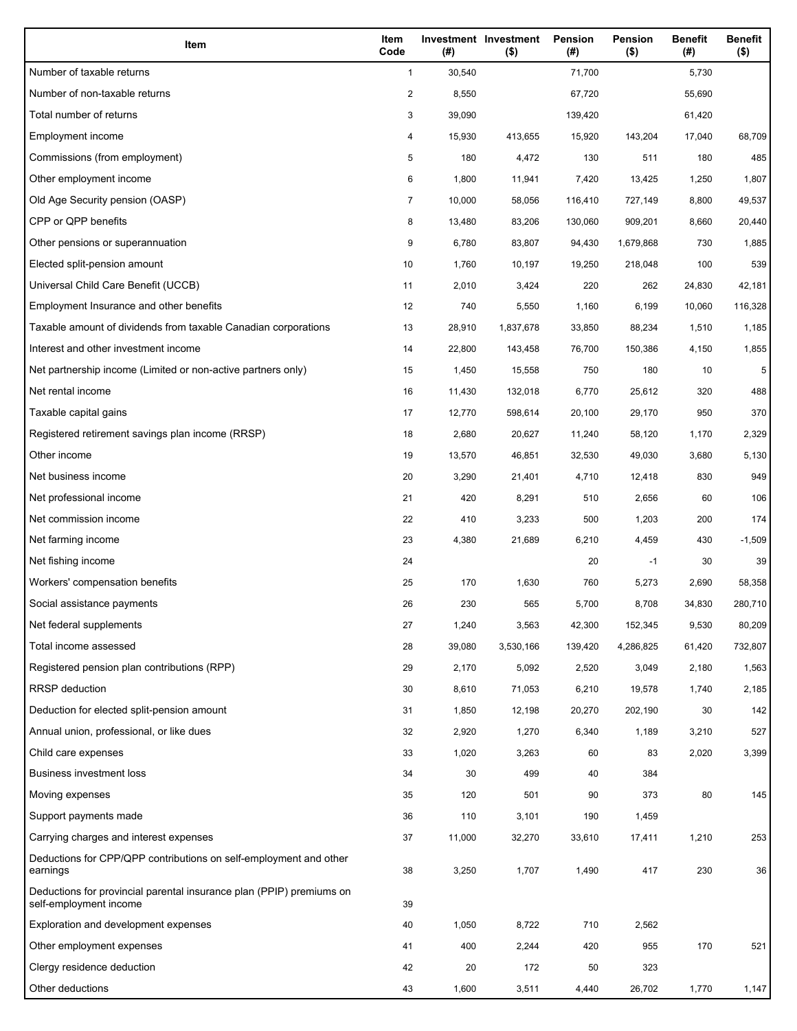| Item                                                                                           | Item<br>Code            | (#)    | Investment Investment<br>$($ \$) | <b>Pension</b><br>(#) | Pension<br>$($ \$) | <b>Benefit</b><br>(#) | <b>Benefit</b><br>$($ \$) |
|------------------------------------------------------------------------------------------------|-------------------------|--------|----------------------------------|-----------------------|--------------------|-----------------------|---------------------------|
| Number of taxable returns                                                                      | $\mathbf{1}$            | 30,540 |                                  | 71,700                |                    | 5,730                 |                           |
| Number of non-taxable returns                                                                  | $\overline{\mathbf{c}}$ | 8,550  |                                  | 67,720                |                    | 55,690                |                           |
| Total number of returns                                                                        | 3                       | 39,090 |                                  | 139,420               |                    | 61,420                |                           |
| Employment income                                                                              | 4                       | 15,930 | 413,655                          | 15,920                | 143,204            | 17,040                | 68,709                    |
| Commissions (from employment)                                                                  | 5                       | 180    | 4,472                            | 130                   | 511                | 180                   | 485                       |
| Other employment income                                                                        | 6                       | 1,800  | 11,941                           | 7,420                 | 13,425             | 1,250                 | 1,807                     |
| Old Age Security pension (OASP)                                                                | 7                       | 10,000 | 58,056                           | 116,410               | 727,149            | 8,800                 | 49,537                    |
| CPP or QPP benefits                                                                            | 8                       | 13,480 | 83,206                           | 130,060               | 909,201            | 8,660                 | 20,440                    |
| Other pensions or superannuation                                                               | 9                       | 6,780  | 83,807                           | 94,430                | 1,679,868          | 730                   | 1,885                     |
| Elected split-pension amount                                                                   | 10                      | 1,760  | 10,197                           | 19,250                | 218,048            | 100                   | 539                       |
| Universal Child Care Benefit (UCCB)                                                            | 11                      | 2,010  | 3,424                            | 220                   | 262                | 24,830                | 42,181                    |
| Employment Insurance and other benefits                                                        | 12                      | 740    | 5,550                            | 1,160                 | 6,199              | 10,060                | 116,328                   |
| Taxable amount of dividends from taxable Canadian corporations                                 | 13                      | 28,910 | 1,837,678                        | 33,850                | 88,234             | 1,510                 | 1,185                     |
| Interest and other investment income                                                           | 14                      | 22,800 | 143,458                          | 76,700                | 150,386            | 4,150                 | 1,855                     |
| Net partnership income (Limited or non-active partners only)                                   | 15                      | 1,450  | 15,558                           | 750                   | 180                | 10                    | 5                         |
| Net rental income                                                                              | 16                      | 11,430 | 132,018                          | 6,770                 | 25,612             | 320                   | 488                       |
| Taxable capital gains                                                                          | 17                      | 12,770 | 598,614                          | 20,100                | 29,170             | 950                   | 370                       |
| Registered retirement savings plan income (RRSP)                                               | 18                      | 2,680  | 20,627                           | 11,240                | 58,120             | 1,170                 | 2,329                     |
| Other income                                                                                   | 19                      | 13,570 | 46,851                           | 32,530                | 49,030             | 3,680                 | 5,130                     |
| Net business income                                                                            | 20                      | 3,290  | 21,401                           | 4,710                 | 12,418             | 830                   | 949                       |
| Net professional income                                                                        | 21                      | 420    | 8,291                            | 510                   | 2,656              | 60                    | 106                       |
| Net commission income                                                                          | 22                      | 410    | 3,233                            | 500                   | 1,203              | 200                   | 174                       |
| Net farming income                                                                             | 23                      | 4,380  | 21,689                           | 6,210                 | 4,459              | 430                   | $-1,509$                  |
| Net fishing income                                                                             | 24                      |        |                                  | 20                    | $-1$               | 30                    | 39                        |
| Workers' compensation benefits                                                                 | 25                      | 170    | 1,630                            | 760                   | 5,273              | 2,690                 | 58,358                    |
| Social assistance payments                                                                     | 26                      | 230    | 565                              | 5,700                 | 8,708              | 34,830                | 280,710                   |
| Net federal supplements                                                                        | 27                      | 1,240  | 3,563                            | 42,300                | 152,345            | 9,530                 | 80,209                    |
| Total income assessed                                                                          | 28                      | 39,080 | 3,530,166                        | 139,420               | 4,286,825          | 61,420                | 732,807                   |
| Registered pension plan contributions (RPP)                                                    | 29                      | 2,170  | 5,092                            | 2,520                 | 3,049              | 2,180                 | 1,563                     |
| <b>RRSP</b> deduction                                                                          | 30                      | 8,610  | 71,053                           | 6,210                 | 19,578             | 1,740                 | 2,185                     |
| Deduction for elected split-pension amount                                                     | 31                      | 1,850  | 12,198                           | 20,270                | 202,190            | 30                    | 142                       |
| Annual union, professional, or like dues                                                       | 32                      | 2,920  | 1,270                            | 6,340                 | 1,189              | 3,210                 | 527                       |
| Child care expenses                                                                            | 33                      | 1,020  | 3,263                            | 60                    | 83                 | 2,020                 | 3,399                     |
| <b>Business investment loss</b>                                                                | 34                      | 30     | 499                              | 40                    | 384                |                       |                           |
| Moving expenses                                                                                | 35                      | 120    | 501                              | 90                    | 373                | 80                    | 145                       |
| Support payments made                                                                          | 36                      | 110    | 3,101                            | 190                   | 1,459              |                       |                           |
| Carrying charges and interest expenses                                                         | 37                      | 11,000 | 32,270                           | 33,610                | 17,411             | 1,210                 | 253                       |
| Deductions for CPP/QPP contributions on self-employment and other<br>earnings                  | 38                      | 3,250  | 1,707                            | 1,490                 | 417                | 230                   | 36                        |
| Deductions for provincial parental insurance plan (PPIP) premiums on<br>self-employment income | 39                      |        |                                  |                       |                    |                       |                           |
| Exploration and development expenses                                                           | 40                      | 1,050  | 8,722                            | 710                   | 2,562              |                       |                           |
| Other employment expenses                                                                      | 41                      | 400    | 2,244                            | 420                   | 955                | 170                   | 521                       |
| Clergy residence deduction                                                                     | 42                      | 20     | 172                              | 50                    | 323                |                       |                           |
| Other deductions                                                                               | 43                      | 1,600  | 3,511                            | 4,440                 | 26,702             | 1,770                 | 1,147                     |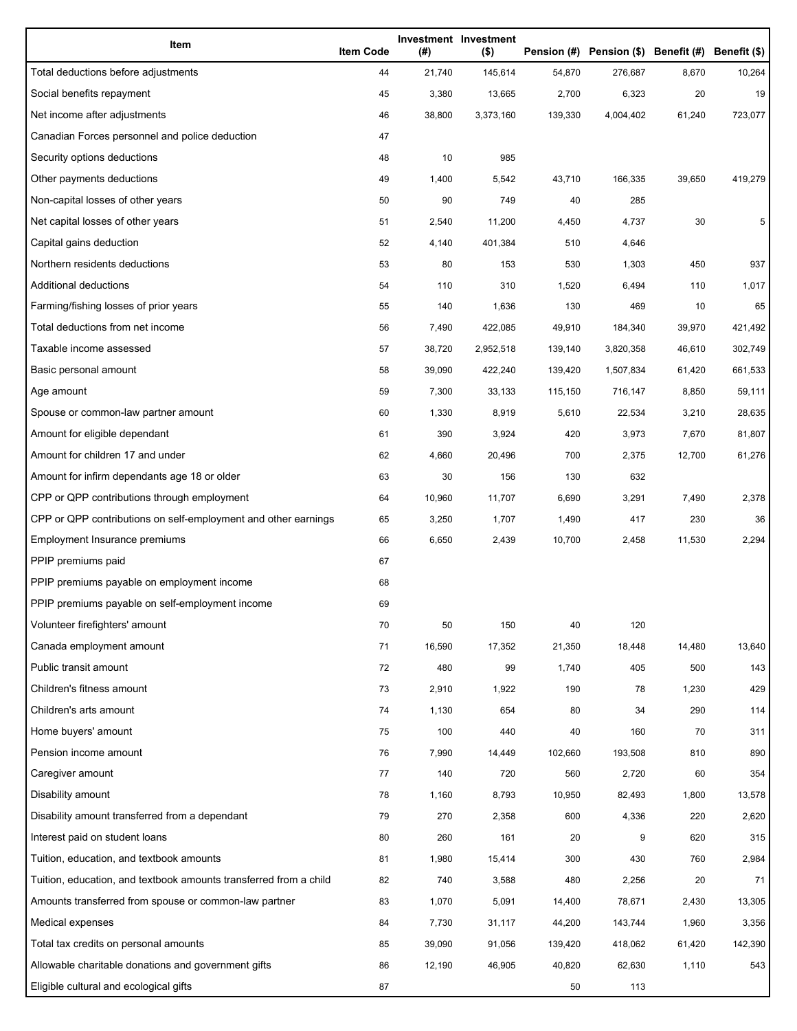| Item                                                              | <b>Item Code</b> | (#)    | Investment Investment<br>$($ \$) |         | Pension (#) Pension (\$) Benefit (#) Benefit (\$) |        |         |
|-------------------------------------------------------------------|------------------|--------|----------------------------------|---------|---------------------------------------------------|--------|---------|
| Total deductions before adjustments                               | 44               | 21,740 | 145,614                          | 54,870  | 276,687                                           | 8,670  | 10,264  |
| Social benefits repayment                                         | 45               | 3,380  | 13,665                           | 2,700   | 6,323                                             | 20     | 19      |
| Net income after adjustments                                      | 46               | 38,800 | 3,373,160                        | 139,330 | 4,004,402                                         | 61,240 | 723,077 |
| Canadian Forces personnel and police deduction                    | 47               |        |                                  |         |                                                   |        |         |
| Security options deductions                                       | 48               | 10     | 985                              |         |                                                   |        |         |
| Other payments deductions                                         | 49               | 1,400  | 5,542                            | 43,710  | 166,335                                           | 39,650 | 419,279 |
| Non-capital losses of other years                                 | 50               | 90     | 749                              | 40      | 285                                               |        |         |
| Net capital losses of other years                                 | 51               | 2,540  | 11,200                           | 4,450   | 4,737                                             | 30     | 5       |
| Capital gains deduction                                           | 52               | 4,140  | 401,384                          | 510     | 4,646                                             |        |         |
| Northern residents deductions                                     | 53               | 80     | 153                              | 530     | 1,303                                             | 450    | 937     |
| Additional deductions                                             | 54               | 110    | 310                              | 1,520   | 6,494                                             | 110    | 1,017   |
| Farming/fishing losses of prior years                             | 55               | 140    | 1,636                            | 130     | 469                                               | 10     | 65      |
| Total deductions from net income                                  | 56               | 7,490  | 422,085                          | 49,910  | 184,340                                           | 39,970 | 421,492 |
| Taxable income assessed                                           | 57               | 38,720 | 2,952,518                        | 139,140 | 3,820,358                                         | 46,610 | 302,749 |
| Basic personal amount                                             | 58               | 39,090 | 422,240                          | 139,420 | 1,507,834                                         | 61,420 | 661,533 |
| Age amount                                                        | 59               | 7,300  | 33,133                           | 115,150 | 716,147                                           | 8,850  | 59,111  |
| Spouse or common-law partner amount                               | 60               | 1,330  | 8,919                            | 5,610   | 22,534                                            | 3,210  | 28,635  |
| Amount for eligible dependant                                     | 61               | 390    | 3,924                            | 420     | 3,973                                             | 7,670  | 81,807  |
| Amount for children 17 and under                                  | 62               | 4,660  | 20,496                           | 700     | 2,375                                             | 12,700 | 61,276  |
| Amount for infirm dependants age 18 or older                      | 63               | 30     | 156                              | 130     | 632                                               |        |         |
| CPP or QPP contributions through employment                       | 64               | 10,960 | 11,707                           | 6,690   | 3,291                                             | 7,490  | 2,378   |
| CPP or QPP contributions on self-employment and other earnings    | 65               | 3,250  | 1,707                            | 1,490   | 417                                               | 230    | 36      |
| Employment Insurance premiums                                     | 66               | 6,650  | 2,439                            | 10,700  | 2,458                                             | 11,530 | 2,294   |
| PPIP premiums paid                                                | 67               |        |                                  |         |                                                   |        |         |
| PPIP premiums payable on employment income                        | 68               |        |                                  |         |                                                   |        |         |
| PPIP premiums payable on self-employment income                   | 69               |        |                                  |         |                                                   |        |         |
| Volunteer firefighters' amount                                    | 70               | 50     | 150                              | 40      | 120                                               |        |         |
| Canada employment amount                                          | 71               | 16,590 | 17,352                           | 21,350  | 18,448                                            | 14,480 | 13,640  |
| Public transit amount                                             | 72               | 480    | 99                               | 1,740   | 405                                               | 500    | 143     |
| Children's fitness amount                                         | 73               | 2,910  | 1,922                            | 190     | 78                                                | 1,230  | 429     |
| Children's arts amount                                            | 74               | 1,130  | 654                              | 80      | 34                                                | 290    | 114     |
| Home buyers' amount                                               | 75               | 100    | 440                              | 40      | 160                                               | 70     | 311     |
| Pension income amount                                             | 76               | 7,990  | 14,449                           | 102,660 | 193,508                                           | 810    | 890     |
| Caregiver amount                                                  | 77               | 140    | 720                              | 560     | 2,720                                             | 60     | 354     |
| Disability amount                                                 | 78               | 1,160  | 8,793                            | 10,950  | 82,493                                            | 1,800  | 13,578  |
| Disability amount transferred from a dependant                    | 79               | 270    | 2,358                            | 600     | 4,336                                             | 220    | 2,620   |
| Interest paid on student loans                                    | 80               | 260    | 161                              | 20      | 9                                                 | 620    | 315     |
| Tuition, education, and textbook amounts                          | 81               | 1,980  | 15,414                           | 300     | 430                                               | 760    | 2,984   |
| Tuition, education, and textbook amounts transferred from a child | 82               | 740    | 3,588                            | 480     | 2,256                                             | 20     | 71      |
| Amounts transferred from spouse or common-law partner             | 83               | 1,070  | 5,091                            | 14,400  | 78,671                                            | 2,430  | 13,305  |
| Medical expenses                                                  | 84               | 7,730  | 31,117                           | 44,200  | 143,744                                           | 1,960  | 3,356   |
| Total tax credits on personal amounts                             | 85               | 39,090 | 91,056                           | 139,420 | 418,062                                           | 61,420 | 142,390 |
| Allowable charitable donations and government gifts               | 86               | 12,190 | 46,905                           | 40,820  | 62,630                                            | 1,110  | 543     |
| Eligible cultural and ecological gifts                            | 87               |        |                                  | 50      | 113                                               |        |         |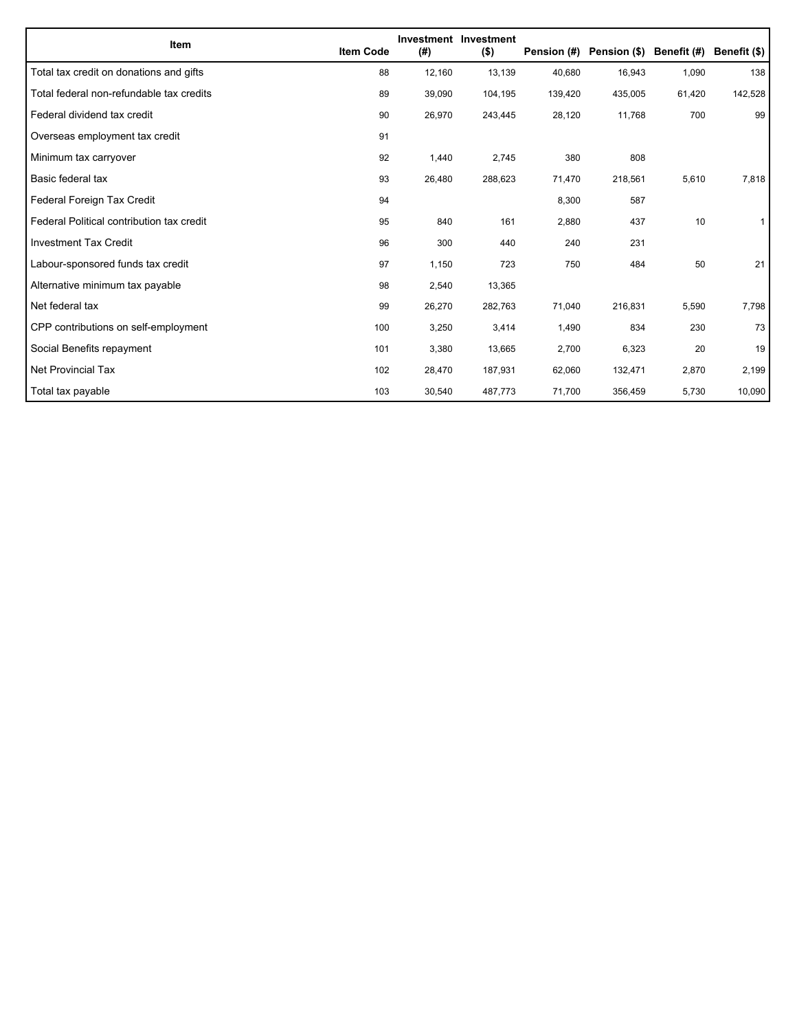| Item                                      | <b>Item Code</b> | (#)    | Investment Investment<br>$($ \$) | Pension (#) | Pension (\$) | Benefit (#) | Benefit (\$) |
|-------------------------------------------|------------------|--------|----------------------------------|-------------|--------------|-------------|--------------|
| Total tax credit on donations and gifts   | 88               | 12,160 | 13,139                           | 40,680      | 16,943       | 1,090       | 138          |
| Total federal non-refundable tax credits  | 89               | 39,090 | 104,195                          | 139,420     | 435,005      | 61,420      | 142,528      |
| Federal dividend tax credit               | 90               | 26,970 | 243,445                          | 28,120      | 11,768       | 700         | 99           |
| Overseas employment tax credit            | 91               |        |                                  |             |              |             |              |
| Minimum tax carryover                     | 92               | 1,440  | 2,745                            | 380         | 808          |             |              |
| Basic federal tax                         | 93               | 26,480 | 288,623                          | 71,470      | 218,561      | 5,610       | 7,818        |
| Federal Foreign Tax Credit                | 94               |        |                                  | 8,300       | 587          |             |              |
| Federal Political contribution tax credit | 95               | 840    | 161                              | 2,880       | 437          | 10          |              |
| <b>Investment Tax Credit</b>              | 96               | 300    | 440                              | 240         | 231          |             |              |
| Labour-sponsored funds tax credit         | 97               | 1,150  | 723                              | 750         | 484          | 50          | 21           |
| Alternative minimum tax payable           | 98               | 2,540  | 13,365                           |             |              |             |              |
| Net federal tax                           | 99               | 26,270 | 282,763                          | 71,040      | 216,831      | 5,590       | 7,798        |
| CPP contributions on self-employment      | 100              | 3,250  | 3,414                            | 1,490       | 834          | 230         | 73           |
| Social Benefits repayment                 | 101              | 3,380  | 13,665                           | 2,700       | 6,323        | 20          | 19           |
| Net Provincial Tax                        | 102              | 28,470 | 187,931                          | 62,060      | 132,471      | 2,870       | 2,199        |
| Total tax payable                         | 103              | 30,540 | 487,773                          | 71,700      | 356,459      | 5,730       | 10,090       |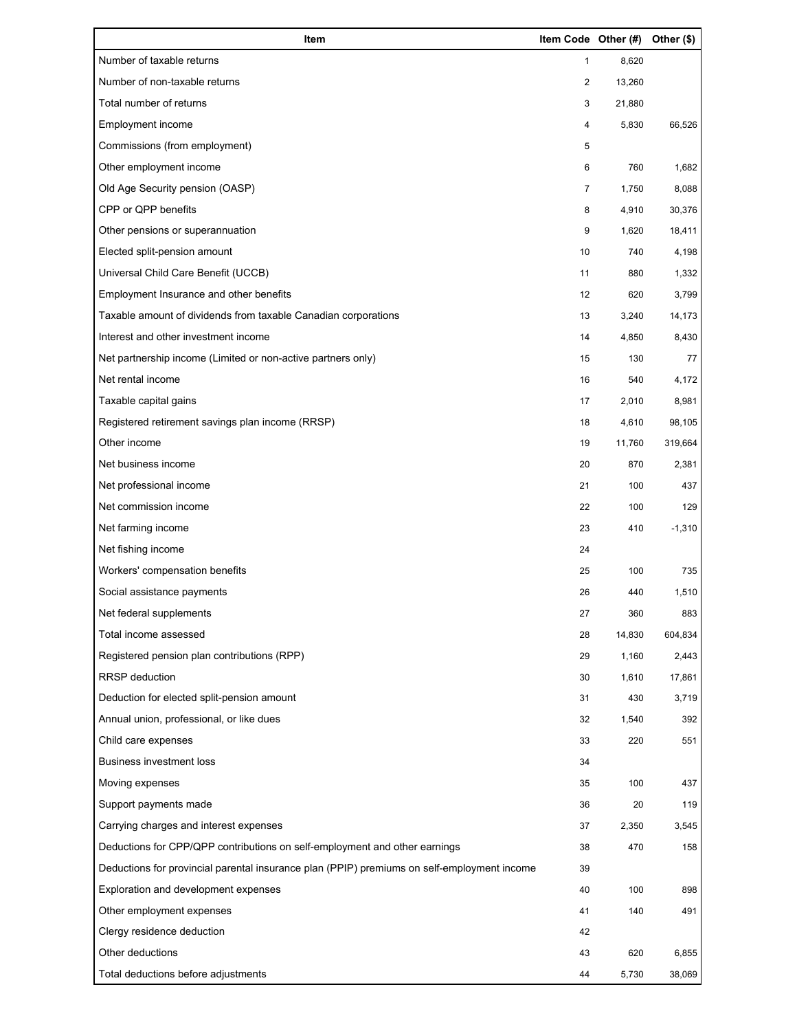| Item                                                                                        | Item Code Other (#) |        | Other (\$) |
|---------------------------------------------------------------------------------------------|---------------------|--------|------------|
| Number of taxable returns                                                                   | $\mathbf{1}$        | 8,620  |            |
| Number of non-taxable returns                                                               | $\overline{c}$      | 13,260 |            |
| Total number of returns                                                                     | 3                   | 21,880 |            |
| Employment income                                                                           | 4                   | 5,830  | 66,526     |
| Commissions (from employment)                                                               | 5                   |        |            |
| Other employment income                                                                     | 6                   | 760    | 1,682      |
| Old Age Security pension (OASP)                                                             | 7                   | 1,750  | 8,088      |
| CPP or QPP benefits                                                                         | 8                   | 4,910  | 30,376     |
| Other pensions or superannuation                                                            | 9                   | 1,620  | 18,411     |
| Elected split-pension amount                                                                | 10                  | 740    | 4,198      |
| Universal Child Care Benefit (UCCB)                                                         | 11                  | 880    | 1,332      |
| Employment Insurance and other benefits                                                     | 12                  | 620    | 3,799      |
| Taxable amount of dividends from taxable Canadian corporations                              | 13                  | 3,240  | 14,173     |
| Interest and other investment income                                                        | 14                  | 4,850  | 8,430      |
| Net partnership income (Limited or non-active partners only)                                | 15                  | 130    | 77         |
| Net rental income                                                                           | 16                  | 540    | 4,172      |
| Taxable capital gains                                                                       | 17                  | 2,010  | 8,981      |
| Registered retirement savings plan income (RRSP)                                            | 18                  | 4,610  | 98,105     |
| Other income                                                                                | 19                  | 11,760 | 319,664    |
| Net business income                                                                         | 20                  | 870    | 2,381      |
| Net professional income                                                                     | 21                  | 100    | 437        |
| Net commission income                                                                       | 22                  | 100    | 129        |
| Net farming income                                                                          | 23                  | 410    | $-1,310$   |
| Net fishing income                                                                          | 24                  |        |            |
| Workers' compensation benefits                                                              | 25                  | 100    | 735        |
| Social assistance payments                                                                  | 26                  | 440    | 1,510      |
| Net federal supplements                                                                     | 27                  | 360    | 883        |
| Total income assessed                                                                       | 28                  | 14,830 | 604,834    |
| Registered pension plan contributions (RPP)                                                 | 29                  | 1,160  | 2,443      |
| <b>RRSP</b> deduction                                                                       | 30                  | 1,610  | 17,861     |
| Deduction for elected split-pension amount                                                  | 31                  | 430    | 3,719      |
| Annual union, professional, or like dues                                                    | 32                  | 1,540  | 392        |
| Child care expenses                                                                         | 33                  | 220    | 551        |
| <b>Business investment loss</b>                                                             | 34                  |        |            |
| Moving expenses                                                                             | 35                  | 100    | 437        |
| Support payments made                                                                       | 36                  | 20     | 119        |
| Carrying charges and interest expenses                                                      | 37                  | 2,350  | 3,545      |
| Deductions for CPP/QPP contributions on self-employment and other earnings                  | 38                  | 470    | 158        |
| Deductions for provincial parental insurance plan (PPIP) premiums on self-employment income | 39                  |        |            |
| Exploration and development expenses                                                        | 40                  | 100    | 898        |
| Other employment expenses                                                                   | 41                  | 140    | 491        |
| Clergy residence deduction                                                                  | 42                  |        |            |
| Other deductions                                                                            | 43                  | 620    | 6,855      |
| Total deductions before adjustments                                                         | 44                  | 5,730  | 38,069     |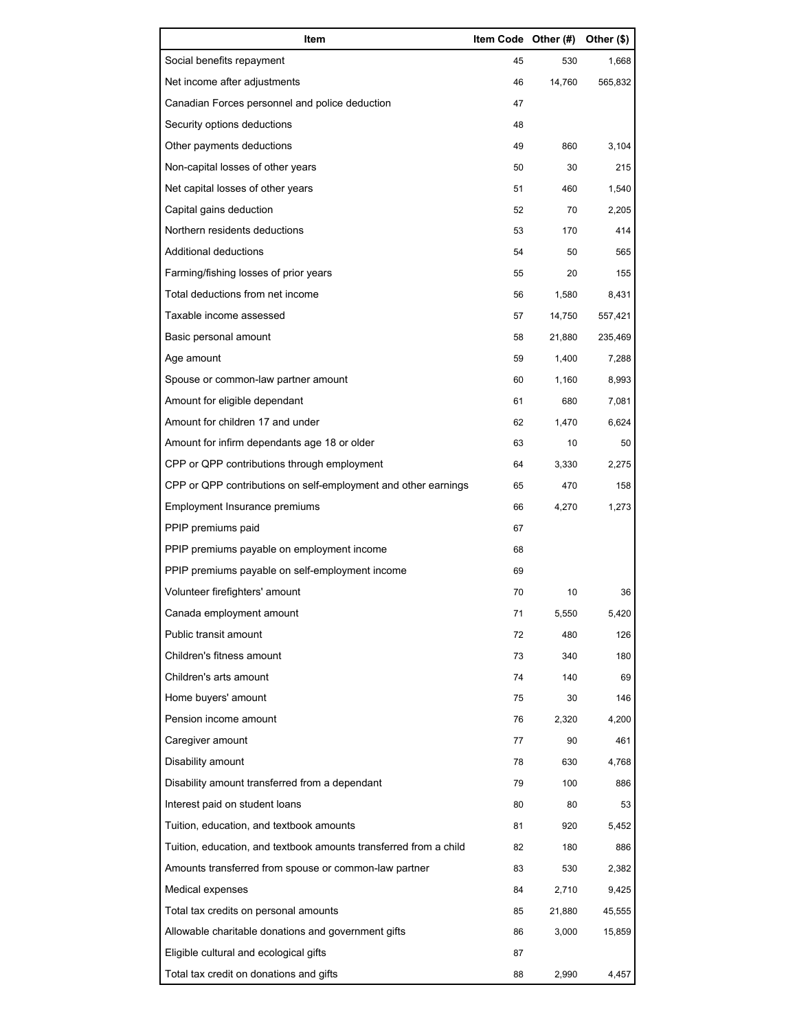| Item                                                              | Item Code Other (#) |        | Other (\$) |
|-------------------------------------------------------------------|---------------------|--------|------------|
| Social benefits repayment                                         | 45                  | 530    | 1,668      |
| Net income after adjustments                                      | 46                  | 14,760 | 565,832    |
| Canadian Forces personnel and police deduction                    | 47                  |        |            |
| Security options deductions                                       | 48                  |        |            |
| Other payments deductions                                         | 49                  | 860    | 3,104      |
| Non-capital losses of other years                                 | 50                  | 30     | 215        |
| Net capital losses of other years                                 | 51                  | 460    | 1,540      |
| Capital gains deduction                                           | 52                  | 70     | 2,205      |
| Northern residents deductions                                     | 53                  | 170    | 414        |
| Additional deductions                                             | 54                  | 50     | 565        |
| Farming/fishing losses of prior years                             | 55                  | 20     | 155        |
| Total deductions from net income                                  | 56                  | 1,580  | 8,431      |
| Taxable income assessed                                           | 57                  | 14,750 | 557,421    |
| Basic personal amount                                             | 58                  | 21,880 | 235,469    |
| Age amount                                                        | 59                  | 1,400  | 7,288      |
| Spouse or common-law partner amount                               | 60                  | 1,160  | 8,993      |
| Amount for eligible dependant                                     | 61                  | 680    | 7,081      |
| Amount for children 17 and under                                  | 62                  | 1,470  | 6,624      |
| Amount for infirm dependants age 18 or older                      | 63                  | 10     | 50         |
| CPP or QPP contributions through employment                       | 64                  | 3,330  | 2,275      |
| CPP or QPP contributions on self-employment and other earnings    | 65                  | 470    | 158        |
| Employment Insurance premiums                                     | 66                  | 4,270  | 1,273      |
| PPIP premiums paid                                                | 67                  |        |            |
| PPIP premiums payable on employment income                        | 68                  |        |            |
| PPIP premiums payable on self-employment income                   | 69                  |        |            |
| Volunteer firefighters' amount                                    | 70                  | 10     | 36         |
| Canada employment amount                                          | 71                  | 5,550  | 5,420      |
| Public transit amount                                             | 72                  | 480    | 126        |
| Children's fitness amount                                         | 73                  | 340    | 180        |
| Children's arts amount                                            | 74                  | 140    | 69         |
| Home buyers' amount                                               | 75                  | 30     | 146        |
| Pension income amount                                             | 76                  | 2,320  | 4,200      |
| Caregiver amount                                                  | 77                  | 90     | 461        |
| Disability amount                                                 | 78                  | 630    | 4,768      |
| Disability amount transferred from a dependant                    | 79                  | 100    | 886        |
| Interest paid on student loans                                    | 80                  | 80     | 53         |
| Tuition, education, and textbook amounts                          | 81                  | 920    | 5,452      |
| Tuition, education, and textbook amounts transferred from a child | 82                  | 180    | 886        |
| Amounts transferred from spouse or common-law partner             | 83                  | 530    | 2,382      |
| Medical expenses                                                  | 84                  | 2,710  | 9,425      |
| Total tax credits on personal amounts                             | 85                  | 21,880 | 45,555     |
| Allowable charitable donations and government gifts               | 86                  | 3,000  | 15,859     |
| Eligible cultural and ecological gifts                            | 87                  |        |            |
| Total tax credit on donations and gifts                           | 88                  | 2,990  | 4,457      |